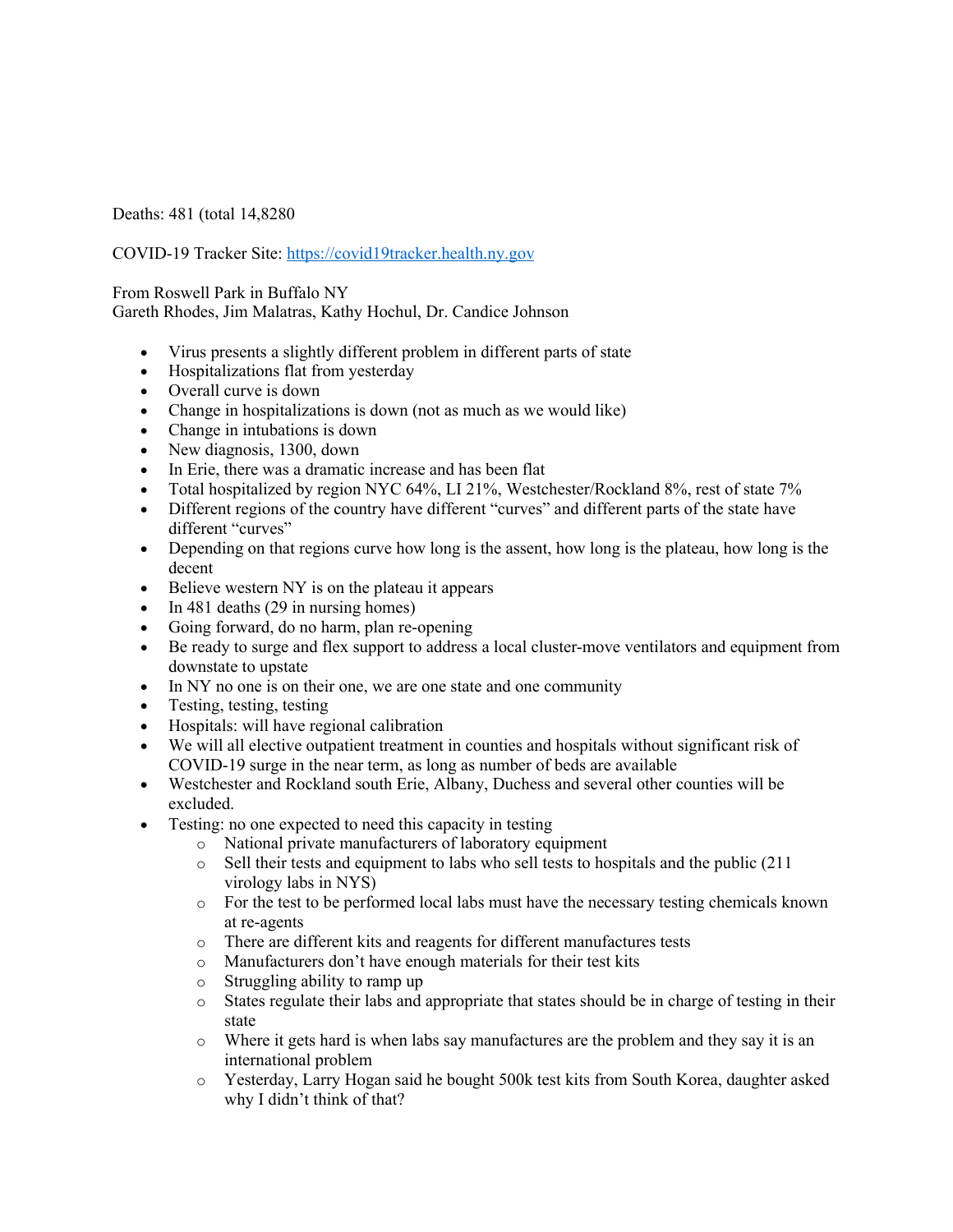## Deaths: 481 (total 14,8280

## COVID-19 Tracker Site: https://covid19tracker.health.ny.gov

From Roswell Park in Buffalo NY

Gareth Rhodes, Jim Malatras, Kathy Hochul, Dr. Candice Johnson

- Virus presents a slightly different problem in different parts of state
- Hospitalizations flat from yesterday
- Overall curve is down
- Change in hospitalizations is down (not as much as we would like)
- Change in intubations is down
- New diagnosis, 1300, down
- In Erie, there was a dramatic increase and has been flat
- Total hospitalized by region NYC 64%, LI 21%, Westchester/Rockland 8%, rest of state 7%
- Different regions of the country have different "curves" and different parts of the state have different "curves"
- Depending on that regions curve how long is the assent, how long is the plateau, how long is the decent
- Believe western NY is on the plateau it appears
- In 481 deaths (29 in nursing homes)
- Going forward, do no harm, plan re-opening
- Be ready to surge and flex support to address a local cluster-move ventilators and equipment from downstate to upstate
- In NY no one is on their one, we are one state and one community
- Testing, testing, testing
- Hospitals: will have regional calibration
- We will all elective outpatient treatment in counties and hospitals without significant risk of COVID-19 surge in the near term, as long as number of beds are available
- Westchester and Rockland south Erie, Albany, Duchess and several other counties will be excluded.
- Testing: no one expected to need this capacity in testing
	- o National private manufacturers of laboratory equipment
	- o Sell their tests and equipment to labs who sell tests to hospitals and the public (211 virology labs in NYS)
	- o For the test to be performed local labs must have the necessary testing chemicals known at re-agents
	- o There are different kits and reagents for different manufactures tests
	- o Manufacturers don't have enough materials for their test kits
	- o Struggling ability to ramp up
	- o States regulate their labs and appropriate that states should be in charge of testing in their state
	- o Where it gets hard is when labs say manufactures are the problem and they say it is an international problem
	- o Yesterday, Larry Hogan said he bought 500k test kits from South Korea, daughter asked why I didn't think of that?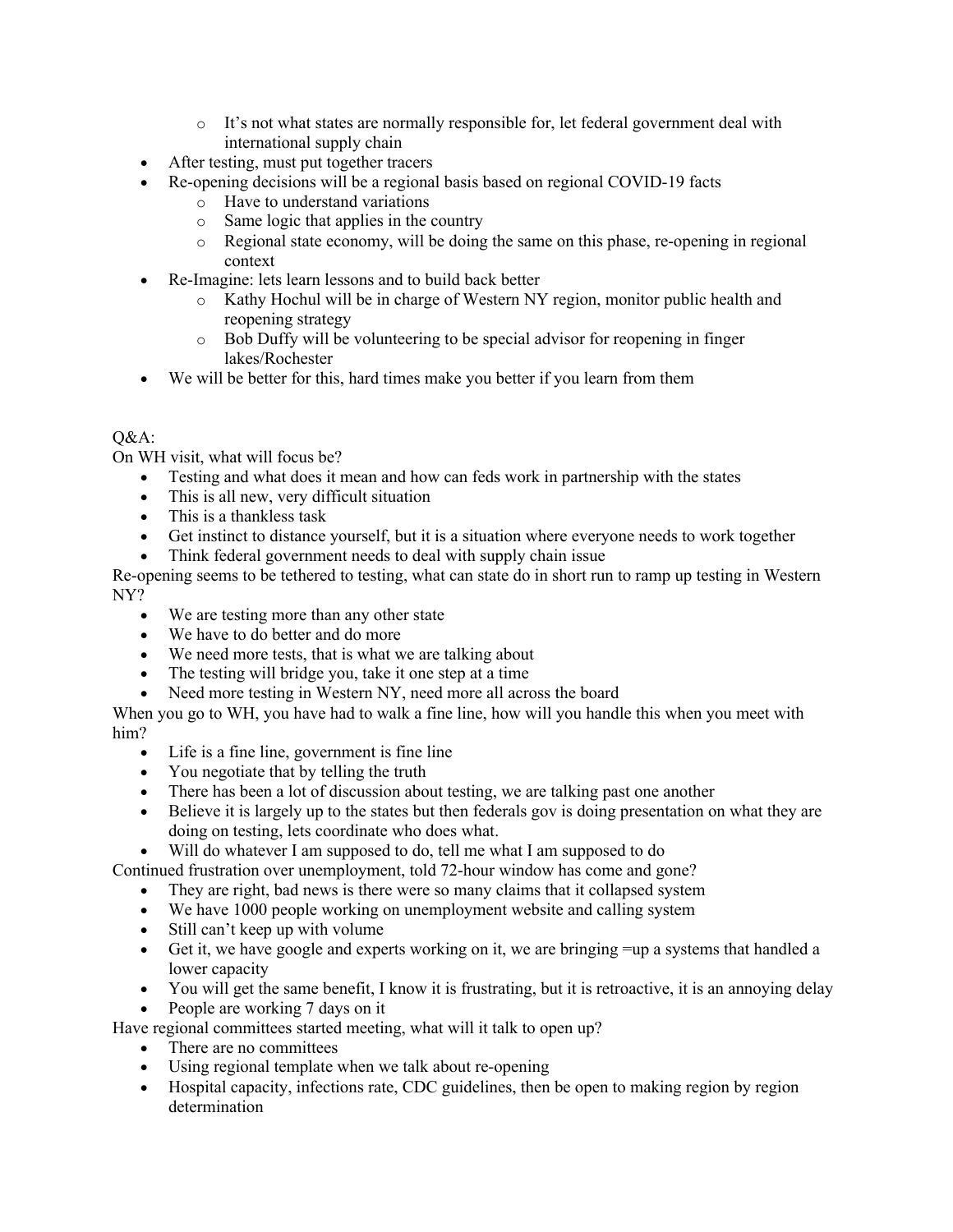- o It's not what states are normally responsible for, let federal government deal with international supply chain
- After testing, must put together tracers
- Re-opening decisions will be a regional basis based on regional COVID-19 facts
	- o Have to understand variations
	- o Same logic that applies in the country
	- o Regional state economy, will be doing the same on this phase, re-opening in regional context
- Re-Imagine: lets learn lessons and to build back better
	- o Kathy Hochul will be in charge of Western NY region, monitor public health and reopening strategy
	- o Bob Duffy will be volunteering to be special advisor for reopening in finger lakes/Rochester
- We will be better for this, hard times make you better if you learn from them

## Q&A:

On WH visit, what will focus be?

- Testing and what does it mean and how can feds work in partnership with the states
- This is all new, very difficult situation
- This is a thankless task
- Get instinct to distance yourself, but it is a situation where everyone needs to work together
- Think federal government needs to deal with supply chain issue

Re-opening seems to be tethered to testing, what can state do in short run to ramp up testing in Western NY?

- We are testing more than any other state
- We have to do better and do more
- We need more tests, that is what we are talking about
- The testing will bridge you, take it one step at a time
- Need more testing in Western NY, need more all across the board

When you go to WH, you have had to walk a fine line, how will you handle this when you meet with him?

- Life is a fine line, government is fine line
- You negotiate that by telling the truth
- There has been a lot of discussion about testing, we are talking past one another
- Believe it is largely up to the states but then federals gov is doing presentation on what they are doing on testing, lets coordinate who does what.

• Will do whatever I am supposed to do, tell me what I am supposed to do

Continued frustration over unemployment, told 72-hour window has come and gone?

- They are right, bad news is there were so many claims that it collapsed system
- We have 1000 people working on unemployment website and calling system
- Still can't keep up with volume
- Get it, we have google and experts working on it, we are bringing =up a systems that handled a lower capacity
- You will get the same benefit, I know it is frustrating, but it is retroactive, it is an annoying delay
- People are working 7 days on it

Have regional committees started meeting, what will it talk to open up?

- There are no committees
- Using regional template when we talk about re-opening
- Hospital capacity, infections rate, CDC guidelines, then be open to making region by region determination